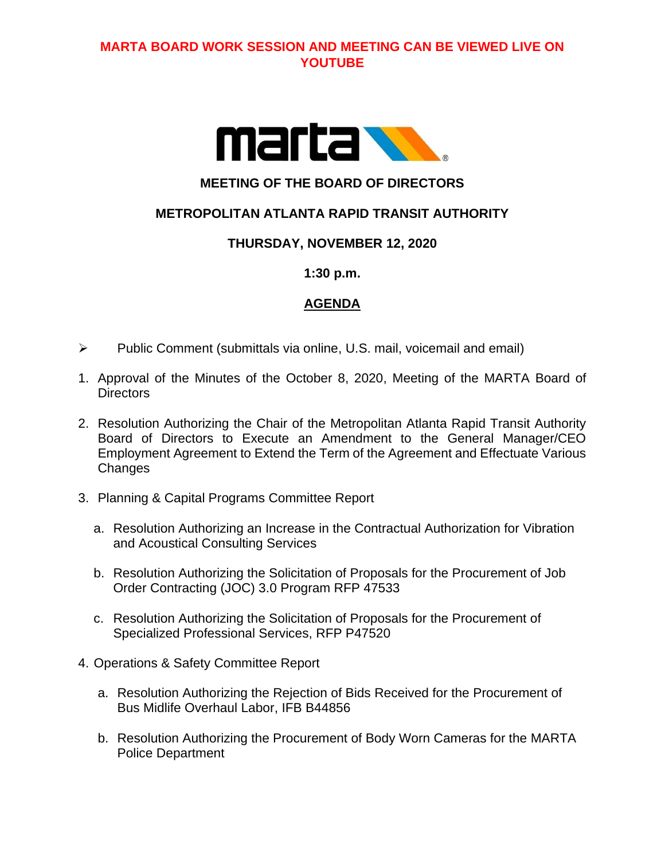# **MARTA BOARD WORK SESSION AND MEETING CAN BE VIEWED LIVE ON YOUTUBE**



# **MEETING OF THE BOARD OF DIRECTORS**

# **METROPOLITAN ATLANTA RAPID TRANSIT AUTHORITY**

### **THURSDAY, NOVEMBER 12, 2020**

#### **1:30 p.m.**

### **AGENDA**

- ➢ Public Comment (submittals via online, U.S. mail, voicemail and email)
- 1. Approval of the Minutes of the October 8, 2020, Meeting of the MARTA Board of **Directors**
- 2. Resolution Authorizing the Chair of the Metropolitan Atlanta Rapid Transit Authority Board of Directors to Execute an Amendment to the General Manager/CEO Employment Agreement to Extend the Term of the Agreement and Effectuate Various **Changes**
- 3. Planning & Capital Programs Committee Report
	- a. Resolution Authorizing an Increase in the Contractual Authorization for Vibration and Acoustical Consulting Services
	- b. Resolution Authorizing the Solicitation of Proposals for the Procurement of Job Order Contracting (JOC) 3.0 Program RFP 47533
	- c. Resolution Authorizing the Solicitation of Proposals for the Procurement of Specialized Professional Services, RFP P47520
- 4. Operations & Safety Committee Report
	- a. Resolution Authorizing the Rejection of Bids Received for the Procurement of Bus Midlife Overhaul Labor, IFB B44856
	- b. Resolution Authorizing the Procurement of Body Worn Cameras for the MARTA Police Department